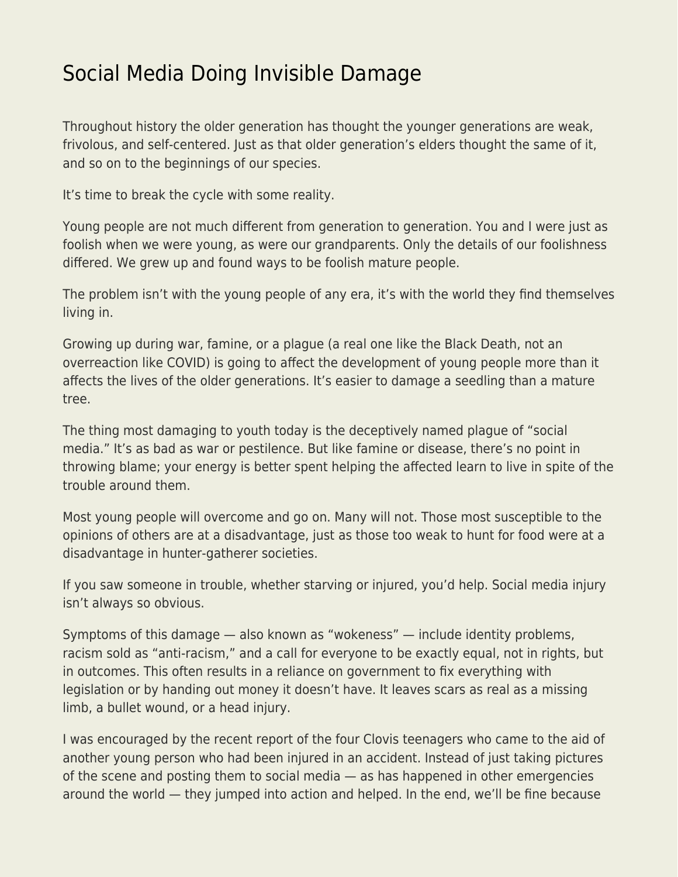## [Social Media Doing Invisible Damage](https://everything-voluntary.com/social-media-doing-invisible-damage)

Throughout history the older generation has thought the younger generations are weak, frivolous, and self-centered. Just as that older generation's elders thought the same of it, and so on to the beginnings of our species.

It's time to break the cycle with some reality.

Young people are not much different from generation to generation. You and I were just as foolish when we were young, as were our grandparents. Only the details of our foolishness differed. We grew up and found ways to be foolish mature people.

The problem isn't with the young people of any era, it's with the world they find themselves living in.

Growing up during war, famine, or a plague (a real one like the Black Death, not an overreaction like COVID) is going to affect the development of young people more than it affects the lives of the older generations. It's easier to damage a seedling than a mature tree.

The thing most damaging to youth today is the deceptively named plague of "social media." It's as bad as war or pestilence. But like famine or disease, there's no point in throwing blame; your energy is better spent helping the affected learn to live in spite of the trouble around them.

Most young people will overcome and go on. Many will not. Those most susceptible to the opinions of others are at a disadvantage, just as those too weak to hunt for food were at a disadvantage in hunter-gatherer societies.

If you saw someone in trouble, whether starving or injured, you'd help. Social media injury isn't always so obvious.

Symptoms of this damage — also known as "wokeness" — include identity problems, racism sold as "anti-racism," and a call for everyone to be exactly equal, not in rights, but in outcomes. This often results in a reliance on government to fix everything with legislation or by handing out money it doesn't have. It leaves scars as real as a missing limb, a bullet wound, or a head injury.

I was encouraged by the recent report of the four Clovis teenagers who came to the aid of another young person who had been injured in an accident. Instead of just taking pictures of the scene and posting them to social media — as has happened in other emergencies around the world — they jumped into action and helped. In the end, we'll be fine because